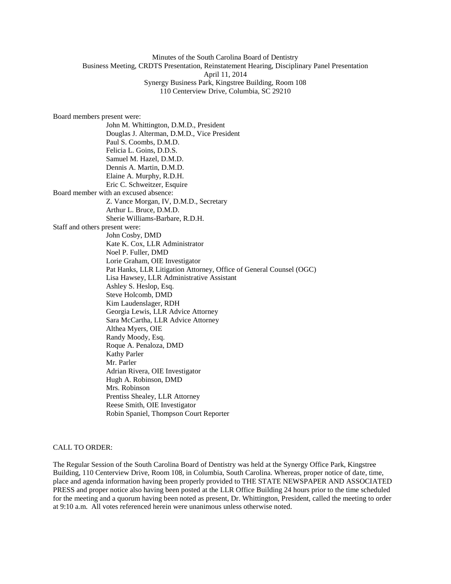# Minutes of the South Carolina Board of Dentistry Business Meeting, CRDTS Presentation, Reinstatement Hearing, Disciplinary Panel Presentation April 11, 2014 Synergy Business Park, Kingstree Building, Room 108 110 Centerview Drive, Columbia, SC 29210

Board members present were: John M. Whittington, D.M.D., President Douglas J. Alterman, D.M.D., Vice President Paul S. Coombs, D.M.D. Felicia L. Goins, D.D.S. Samuel M. Hazel, D.M.D. Dennis A. Martin, D.M.D. Elaine A. Murphy, R.D.H. Eric C. Schweitzer, Esquire Board member with an excused absence: Z. Vance Morgan, IV, D.M.D., Secretary Arthur L. Bruce, D.M.D. Sherie Williams-Barbare, R.D.H. Staff and others present were: John Cosby, DMD Kate K. Cox, LLR Administrator Noel P. Fuller, DMD Lorie Graham, OIE Investigator Pat Hanks, LLR Litigation Attorney, Office of General Counsel (OGC) Lisa Hawsey, LLR Administrative Assistant Ashley S. Heslop, Esq. Steve Holcomb, DMD Kim Laudenslager, RDH Georgia Lewis, LLR Advice Attorney Sara McCartha, LLR Advice Attorney Althea Myers, OIE Randy Moody, Esq. Roque A. Penaloza, DMD Kathy Parler Mr. Parler Adrian Rivera, OIE Investigator Hugh A. Robinson, DMD Mrs. Robinson Prentiss Shealey, LLR Attorney Reese Smith, OIE Investigator Robin Spaniel, Thompson Court Reporter

### CALL TO ORDER:

The Regular Session of the South Carolina Board of Dentistry was held at the Synergy Office Park, Kingstree Building, 110 Centerview Drive, Room 108, in Columbia, South Carolina. Whereas, proper notice of date, time, place and agenda information having been properly provided to THE STATE NEWSPAPER AND ASSOCIATED PRESS and proper notice also having been posted at the LLR Office Building 24 hours prior to the time scheduled for the meeting and a quorum having been noted as present, Dr. Whittington, President, called the meeting to order at 9:10 a.m. All votes referenced herein were unanimous unless otherwise noted.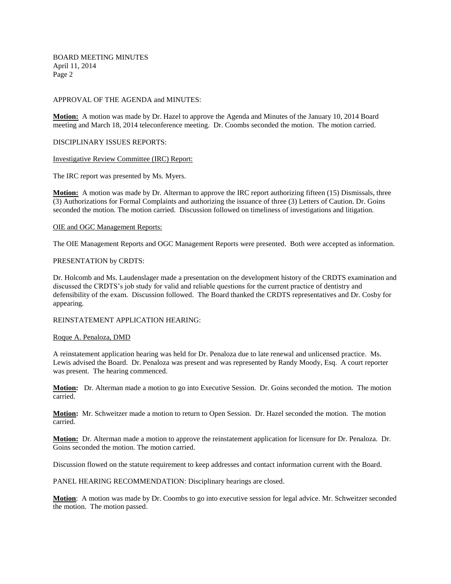### APPROVAL OF THE AGENDA and MINUTES:

**Motion:** A motion was made by Dr. Hazel to approve the Agenda and Minutes of the January 10, 2014 Board meeting and March 18, 2014 teleconference meeting. Dr. Coombs seconded the motion. The motion carried.

DISCIPLINARY ISSUES REPORTS:

#### Investigative Review Committee (IRC) Report:

The IRC report was presented by Ms. Myers.

**Motion:** A motion was made by Dr. Alterman to approve the IRC report authorizing fifteen (15) Dismissals, three (3) Authorizations for Formal Complaints and authorizing the issuance of three (3) Letters of Caution. Dr. Goins seconded the motion. The motion carried. Discussion followed on timeliness of investigations and litigation.

### OIE and OGC Management Reports:

The OIE Management Reports and OGC Management Reports were presented. Both were accepted as information.

### PRESENTATION by CRDTS:

Dr. Holcomb and Ms. Laudenslager made a presentation on the development history of the CRDTS examination and discussed the CRDTS's job study for valid and reliable questions for the current practice of dentistry and defensibility of the exam. Discussion followed. The Board thanked the CRDTS representatives and Dr. Cosby for appearing.

### REINSTATEMENT APPLICATION HEARING:

#### Roque A. Penaloza, DMD

A reinstatement application hearing was held for Dr. Penaloza due to late renewal and unlicensed practice. Ms. Lewis advised the Board. Dr. Penaloza was present and was represented by Randy Moody, Esq. A court reporter was present. The hearing commenced.

**Motion:** Dr. Alterman made a motion to go into Executive Session. Dr. Goins seconded the motion. The motion carried.

**Motion:** Mr. Schweitzer made a motion to return to Open Session. Dr. Hazel seconded the motion. The motion carried.

**Motion:** Dr. Alterman made a motion to approve the reinstatement application for licensure for Dr. Penaloza. Dr. Goins seconded the motion. The motion carried.

Discussion flowed on the statute requirement to keep addresses and contact information current with the Board.

PANEL HEARING RECOMMENDATION: Disciplinary hearings are closed*.* 

**Motion**: A motion was made by Dr. Coombs to go into executive session for legal advice. Mr. Schweitzer seconded the motion. The motion passed.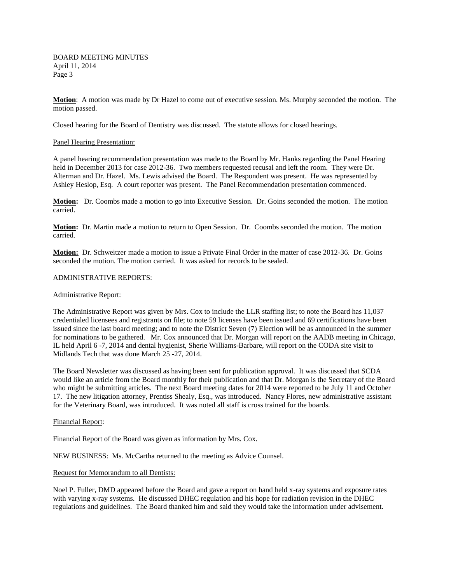**Motion**: A motion was made by Dr Hazel to come out of executive session. Ms. Murphy seconded the motion. The motion passed.

Closed hearing for the Board of Dentistry was discussed. The statute allows for closed hearings.

### Panel Hearing Presentation:

A panel hearing recommendation presentation was made to the Board by Mr. Hanks regarding the Panel Hearing held in December 2013 for case 2012-36. Two members requested recusal and left the room. They were Dr. Alterman and Dr. Hazel. Ms. Lewis advised the Board. The Respondent was present. He was represented by Ashley Heslop, Esq. A court reporter was present. The Panel Recommendation presentation commenced.

**Motion:** Dr. Coombs made a motion to go into Executive Session. Dr. Goins seconded the motion. The motion carried.

**Motion:** Dr. Martin made a motion to return to Open Session. Dr. Coombs seconded the motion. The motion carried.

**Motion:** Dr. Schweitzer made a motion to issue a Private Final Order in the matter of case 2012-36. Dr. Goins seconded the motion. The motion carried. It was asked for records to be sealed.

#### ADMINISTRATIVE REPORTS:

#### Administrative Report:

The Administrative Report was given by Mrs. Cox to include the LLR staffing list; to note the Board has 11,037 credentialed licensees and registrants on file; to note 59 licenses have been issued and 69 certifications have been issued since the last board meeting; and to note the District Seven (7) Election will be as announced in the summer for nominations to be gathered. Mr. Cox announced that Dr. Morgan will report on the AADB meeting in Chicago, IL held April 6 -7, 2014 and dental hygienist, Sherie Williams-Barbare, will report on the CODA site visit to Midlands Tech that was done March 25 -27, 2014.

The Board Newsletter was discussed as having been sent for publication approval. It was discussed that SCDA would like an article from the Board monthly for their publication and that Dr. Morgan is the Secretary of the Board who might be submitting articles. The next Board meeting dates for 2014 were reported to be July 11 and October 17. The new litigation attorney, Prentiss Shealy, Esq., was introduced. Nancy Flores, new administrative assistant for the Veterinary Board, was introduced. It was noted all staff is cross trained for the boards.

#### Financial Report:

Financial Report of the Board was given as information by Mrs. Cox.

NEW BUSINESS: Ms. McCartha returned to the meeting as Advice Counsel.

#### Request for Memorandum to all Dentists:

Noel P. Fuller, DMD appeared before the Board and gave a report on hand held x-ray systems and exposure rates with varying x-ray systems. He discussed DHEC regulation and his hope for radiation revision in the DHEC regulations and guidelines. The Board thanked him and said they would take the information under advisement.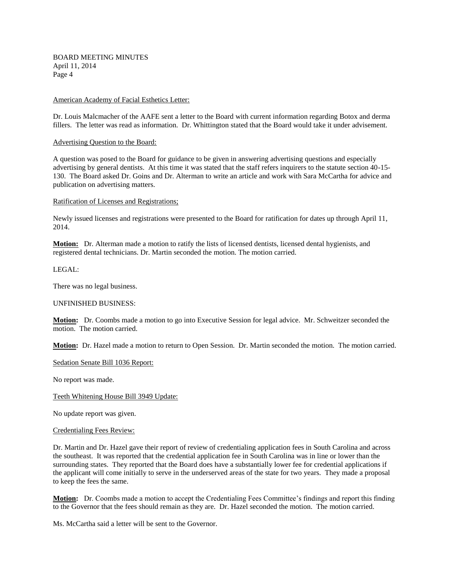### American Academy of Facial Esthetics Letter:

Dr. Louis Malcmacher of the AAFE sent a letter to the Board with current information regarding Botox and derma fillers. The letter was read as information. Dr. Whittington stated that the Board would take it under advisement.

#### Advertising Question to the Board:

A question was posed to the Board for guidance to be given in answering advertising questions and especially advertising by general dentists. At this time it was stated that the staff refers inquirers to the statute section 40-15- 130. The Board asked Dr. Goins and Dr. Alterman to write an article and work with Sara McCartha for advice and publication on advertising matters.

# Ratification of Licenses and Registrations;

Newly issued licenses and registrations were presented to the Board for ratification for dates up through April 11, 2014.

**Motion:** Dr. Alterman made a motion to ratify the lists of licensed dentists, licensed dental hygienists, and registered dental technicians. Dr. Martin seconded the motion. The motion carried.

LEGAL:

There was no legal business.

### UNFINISHED BUSINESS:

**Motion:** Dr. Coombs made a motion to go into Executive Session for legal advice. Mr. Schweitzer seconded the motion. The motion carried.

**Motion:** Dr. Hazel made a motion to return to Open Session. Dr. Martin seconded the motion. The motion carried.

Sedation Senate Bill 1036 Report:

No report was made.

Teeth Whitening House Bill 3949 Update:

No update report was given.

#### Credentialing Fees Review:

Dr. Martin and Dr. Hazel gave their report of review of credentialing application fees in South Carolina and across the southeast. It was reported that the credential application fee in South Carolina was in line or lower than the surrounding states. They reported that the Board does have a substantially lower fee for credential applications if the applicant will come initially to serve in the underserved areas of the state for two years. They made a proposal to keep the fees the same.

**Motion:** Dr. Coombs made a motion to accept the Credentialing Fees Committee's findings and report this finding to the Governor that the fees should remain as they are. Dr. Hazel seconded the motion. The motion carried.

Ms. McCartha said a letter will be sent to the Governor.